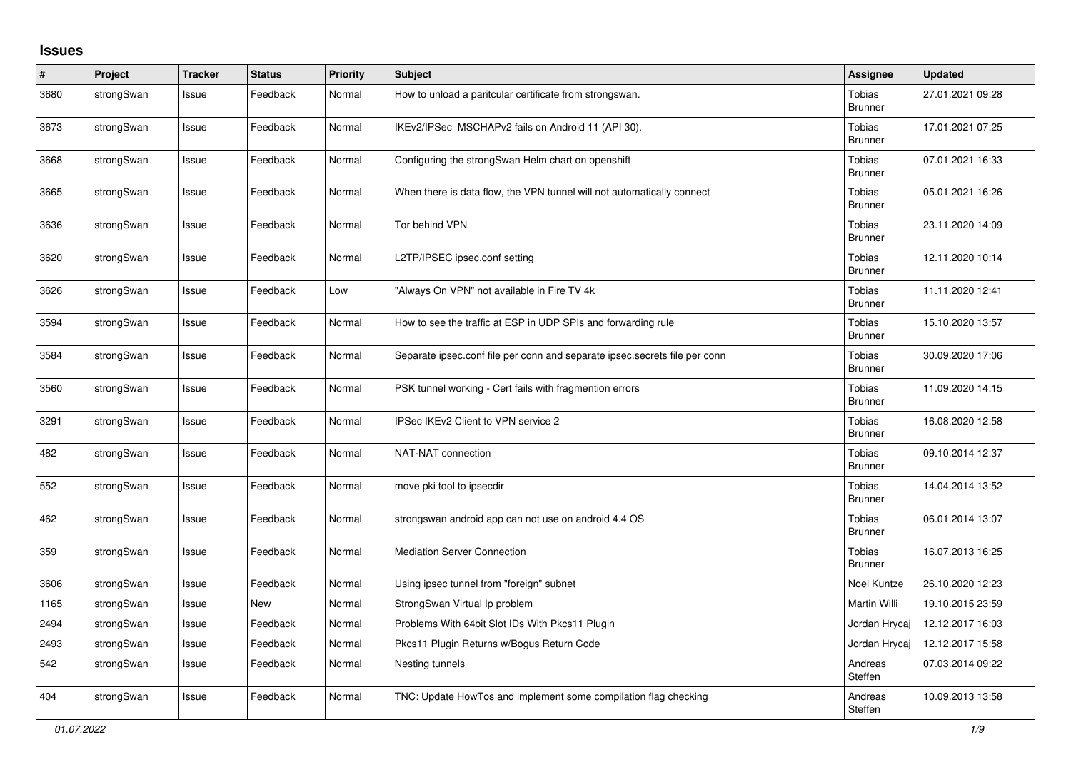## **Issues**

| $\vert$ # | Project    | <b>Tracker</b> | <b>Status</b> | Priority | <b>Subject</b>                                                             | <b>Assignee</b>                 | <b>Updated</b>   |
|-----------|------------|----------------|---------------|----------|----------------------------------------------------------------------------|---------------------------------|------------------|
| 3680      | strongSwan | Issue          | Feedback      | Normal   | How to unload a paritcular certificate from strongswan.                    | Tobias<br><b>Brunner</b>        | 27.01.2021 09:28 |
| 3673      | strongSwan | Issue          | Feedback      | Normal   | IKEv2/IPSec MSCHAPv2 fails on Android 11 (API 30).                         | Tobias<br><b>Brunner</b>        | 17.01.2021 07:25 |
| 3668      | strongSwan | Issue          | Feedback      | Normal   | Configuring the strongSwan Helm chart on openshift                         | Tobias<br><b>Brunner</b>        | 07.01.2021 16:33 |
| 3665      | strongSwan | Issue          | Feedback      | Normal   | When there is data flow, the VPN tunnel will not automatically connect     | Tobias<br><b>Brunner</b>        | 05.01.2021 16:26 |
| 3636      | strongSwan | Issue          | Feedback      | Normal   | Tor behind VPN                                                             | Tobias<br><b>Brunner</b>        | 23.11.2020 14:09 |
| 3620      | strongSwan | Issue          | Feedback      | Normal   | L2TP/IPSEC ipsec.conf setting                                              | Tobias<br><b>Brunner</b>        | 12.11.2020 10:14 |
| 3626      | strongSwan | Issue          | Feedback      | Low      | "Always On VPN" not available in Fire TV 4k                                | Tobias<br><b>Brunner</b>        | 11.11.2020 12:41 |
| 3594      | strongSwan | Issue          | Feedback      | Normal   | How to see the traffic at ESP in UDP SPIs and forwarding rule              | Tobias<br><b>Brunner</b>        | 15.10.2020 13:57 |
| 3584      | strongSwan | Issue          | Feedback      | Normal   | Separate ipsec.conf file per conn and separate ipsec.secrets file per conn | Tobias<br><b>Brunner</b>        | 30.09.2020 17:06 |
| 3560      | strongSwan | Issue          | Feedback      | Normal   | PSK tunnel working - Cert fails with fragmention errors                    | Tobias<br><b>Brunner</b>        | 11.09.2020 14:15 |
| 3291      | strongSwan | Issue          | Feedback      | Normal   | IPSec IKEv2 Client to VPN service 2                                        | Tobias<br><b>Brunner</b>        | 16.08.2020 12:58 |
| 482       | strongSwan | Issue          | Feedback      | Normal   | NAT-NAT connection                                                         | Tobias<br><b>Brunner</b>        | 09.10.2014 12:37 |
| 552       | strongSwan | Issue          | Feedback      | Normal   | move pki tool to ipsecdir                                                  | Tobias<br><b>Brunner</b>        | 14.04.2014 13:52 |
| 462       | strongSwan | Issue          | Feedback      | Normal   | strongswan android app can not use on android 4.4 OS                       | Tobias<br>Brunner               | 06.01.2014 13:07 |
| 359       | strongSwan | Issue          | Feedback      | Normal   | <b>Mediation Server Connection</b>                                         | <b>Tobias</b><br><b>Brunner</b> | 16.07.2013 16:25 |
| 3606      | strongSwan | Issue          | Feedback      | Normal   | Using ipsec tunnel from "foreign" subnet                                   | Noel Kuntze                     | 26.10.2020 12:23 |
| 1165      | strongSwan | Issue          | <b>New</b>    | Normal   | StrongSwan Virtual Ip problem                                              | Martin Willi                    | 19.10.2015 23:59 |
| 2494      | strongSwan | Issue          | Feedback      | Normal   | Problems With 64bit Slot IDs With Pkcs11 Plugin                            | Jordan Hrycaj                   | 12.12.2017 16:03 |
| 2493      | strongSwan | Issue          | Feedback      | Normal   | Pkcs11 Plugin Returns w/Bogus Return Code                                  | Jordan Hrycaj                   | 12.12.2017 15:58 |
| 542       | strongSwan | Issue          | Feedback      | Normal   | Nesting tunnels                                                            | Andreas<br>Steffen              | 07.03.2014 09:22 |
| 404       | strongSwan | Issue          | Feedback      | Normal   | TNC: Update HowTos and implement some compilation flag checking            | Andreas<br>Steffen              | 10.09.2013 13:58 |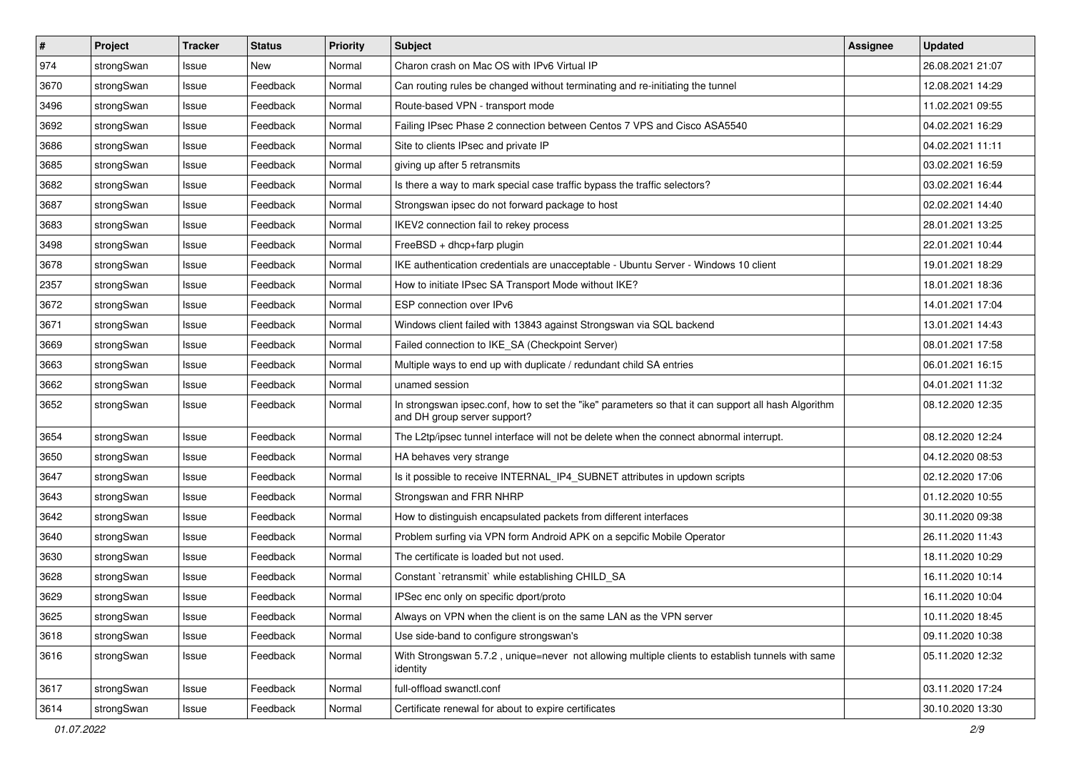| $\sharp$ | Project    | <b>Tracker</b> | <b>Status</b> | <b>Priority</b> | <b>Subject</b>                                                                                                                      | Assignee | <b>Updated</b>   |
|----------|------------|----------------|---------------|-----------------|-------------------------------------------------------------------------------------------------------------------------------------|----------|------------------|
| 974      | strongSwan | Issue          | New           | Normal          | Charon crash on Mac OS with IPv6 Virtual IP                                                                                         |          | 26.08.2021 21:07 |
| 3670     | strongSwan | Issue          | Feedback      | Normal          | Can routing rules be changed without terminating and re-initiating the tunnel                                                       |          | 12.08.2021 14:29 |
| 3496     | strongSwan | Issue          | Feedback      | Normal          | Route-based VPN - transport mode                                                                                                    |          | 11.02.2021 09:55 |
| 3692     | strongSwan | Issue          | Feedback      | Normal          | Failing IPsec Phase 2 connection between Centos 7 VPS and Cisco ASA5540                                                             |          | 04.02.2021 16:29 |
| 3686     | strongSwan | Issue          | Feedback      | Normal          | Site to clients IPsec and private IP                                                                                                |          | 04.02.2021 11:11 |
| 3685     | strongSwan | Issue          | Feedback      | Normal          | giving up after 5 retransmits                                                                                                       |          | 03.02.2021 16:59 |
| 3682     | strongSwan | Issue          | Feedback      | Normal          | Is there a way to mark special case traffic bypass the traffic selectors?                                                           |          | 03.02.2021 16:44 |
| 3687     | strongSwan | Issue          | Feedback      | Normal          | Strongswan ipsec do not forward package to host                                                                                     |          | 02.02.2021 14:40 |
| 3683     | strongSwan | Issue          | Feedback      | Normal          | IKEV2 connection fail to rekey process                                                                                              |          | 28.01.2021 13:25 |
| 3498     | strongSwan | Issue          | Feedback      | Normal          | FreeBSD + dhcp+farp plugin                                                                                                          |          | 22.01.2021 10:44 |
| 3678     | strongSwan | Issue          | Feedback      | Normal          | IKE authentication credentials are unacceptable - Ubuntu Server - Windows 10 client                                                 |          | 19.01.2021 18:29 |
| 2357     | strongSwan | Issue          | Feedback      | Normal          | How to initiate IPsec SA Transport Mode without IKE?                                                                                |          | 18.01.2021 18:36 |
| 3672     | strongSwan | Issue          | Feedback      | Normal          | ESP connection over IPv6                                                                                                            |          | 14.01.2021 17:04 |
| 3671     | strongSwan | Issue          | Feedback      | Normal          | Windows client failed with 13843 against Strongswan via SQL backend                                                                 |          | 13.01.2021 14:43 |
| 3669     | strongSwan | Issue          | Feedback      | Normal          | Failed connection to IKE SA (Checkpoint Server)                                                                                     |          | 08.01.2021 17:58 |
| 3663     | strongSwan | Issue          | Feedback      | Normal          | Multiple ways to end up with duplicate / redundant child SA entries                                                                 |          | 06.01.2021 16:15 |
| 3662     | strongSwan | Issue          | Feedback      | Normal          | unamed session                                                                                                                      |          | 04.01.2021 11:32 |
| 3652     | strongSwan | Issue          | Feedback      | Normal          | In strongswan ipsec.conf, how to set the "ike" parameters so that it can support all hash Algorithm<br>and DH group server support? |          | 08.12.2020 12:35 |
| 3654     | strongSwan | Issue          | Feedback      | Normal          | The L2tp/ipsec tunnel interface will not be delete when the connect abnormal interrupt.                                             |          | 08.12.2020 12:24 |
| 3650     | strongSwan | Issue          | Feedback      | Normal          | HA behaves very strange                                                                                                             |          | 04.12.2020 08:53 |
| 3647     | strongSwan | Issue          | Feedback      | Normal          | Is it possible to receive INTERNAL_IP4_SUBNET attributes in updown scripts                                                          |          | 02.12.2020 17:06 |
| 3643     | strongSwan | Issue          | Feedback      | Normal          | Strongswan and FRR NHRP                                                                                                             |          | 01.12.2020 10:55 |
| 3642     | strongSwan | Issue          | Feedback      | Normal          | How to distinguish encapsulated packets from different interfaces                                                                   |          | 30.11.2020 09:38 |
| 3640     | strongSwan | Issue          | Feedback      | Normal          | Problem surfing via VPN form Android APK on a sepcific Mobile Operator                                                              |          | 26.11.2020 11:43 |
| 3630     | strongSwan | Issue          | Feedback      | Normal          | The certificate is loaded but not used.                                                                                             |          | 18.11.2020 10:29 |
| 3628     | strongSwan | Issue          | Feedback      | Normal          | Constant `retransmit` while establishing CHILD_SA                                                                                   |          | 16.11.2020 10:14 |
| 3629     | strongSwan | Issue          | Feedback      | Normal          | IPSec enc only on specific dport/proto                                                                                              |          | 16.11.2020 10:04 |
| 3625     | strongSwan | Issue          | Feedback      | Normal          | Always on VPN when the client is on the same LAN as the VPN server                                                                  |          | 10.11.2020 18:45 |
| 3618     | strongSwan | Issue          | Feedback      | Normal          | Use side-band to configure strongswan's                                                                                             |          | 09.11.2020 10:38 |
| 3616     | strongSwan | Issue          | Feedback      | Normal          | With Strongswan 5.7.2, unique=never not allowing multiple clients to establish tunnels with same<br>identity                        |          | 05.11.2020 12:32 |
| 3617     | strongSwan | Issue          | Feedback      | Normal          | full-offload swanctl.conf                                                                                                           |          | 03.11.2020 17:24 |
| 3614     | strongSwan | Issue          | Feedback      | Normal          | Certificate renewal for about to expire certificates                                                                                |          | 30.10.2020 13:30 |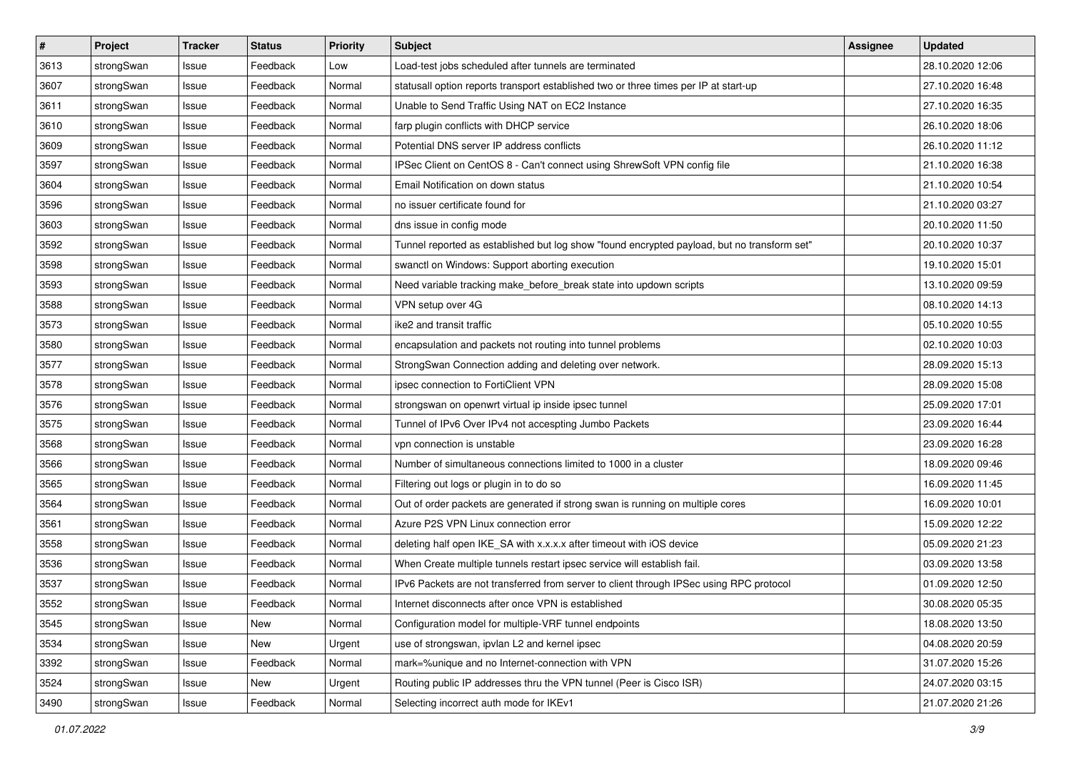| $\pmb{\#}$ | Project    | <b>Tracker</b> | <b>Status</b> | <b>Priority</b> | <b>Subject</b>                                                                              | Assignee | <b>Updated</b>   |
|------------|------------|----------------|---------------|-----------------|---------------------------------------------------------------------------------------------|----------|------------------|
| 3613       | strongSwan | Issue          | Feedback      | Low             | Load-test jobs scheduled after tunnels are terminated                                       |          | 28.10.2020 12:06 |
| 3607       | strongSwan | Issue          | Feedback      | Normal          | statusall option reports transport established two or three times per IP at start-up        |          | 27.10.2020 16:48 |
| 3611       | strongSwan | Issue          | Feedback      | Normal          | Unable to Send Traffic Using NAT on EC2 Instance                                            |          | 27.10.2020 16:35 |
| 3610       | strongSwan | Issue          | Feedback      | Normal          | farp plugin conflicts with DHCP service                                                     |          | 26.10.2020 18:06 |
| 3609       | strongSwan | Issue          | Feedback      | Normal          | Potential DNS server IP address conflicts                                                   |          | 26.10.2020 11:12 |
| 3597       | strongSwan | Issue          | Feedback      | Normal          | IPSec Client on CentOS 8 - Can't connect using ShrewSoft VPN config file                    |          | 21.10.2020 16:38 |
| 3604       | strongSwan | Issue          | Feedback      | Normal          | Email Notification on down status                                                           |          | 21.10.2020 10:54 |
| 3596       | strongSwan | Issue          | Feedback      | Normal          | no issuer certificate found for                                                             |          | 21.10.2020 03:27 |
| 3603       | strongSwan | Issue          | Feedback      | Normal          | dns issue in config mode                                                                    |          | 20.10.2020 11:50 |
| 3592       | strongSwan | Issue          | Feedback      | Normal          | Tunnel reported as established but log show "found encrypted payload, but no transform set" |          | 20.10.2020 10:37 |
| 3598       | strongSwan | Issue          | Feedback      | Normal          | swanctl on Windows: Support aborting execution                                              |          | 19.10.2020 15:01 |
| 3593       | strongSwan | Issue          | Feedback      | Normal          | Need variable tracking make_before_break state into updown scripts                          |          | 13.10.2020 09:59 |
| 3588       | strongSwan | Issue          | Feedback      | Normal          | VPN setup over 4G                                                                           |          | 08.10.2020 14:13 |
| 3573       | strongSwan | lssue          | Feedback      | Normal          | ike2 and transit traffic                                                                    |          | 05.10.2020 10:55 |
| 3580       | strongSwan | Issue          | Feedback      | Normal          | encapsulation and packets not routing into tunnel problems                                  |          | 02.10.2020 10:03 |
| 3577       | strongSwan | Issue          | Feedback      | Normal          | StrongSwan Connection adding and deleting over network.                                     |          | 28.09.2020 15:13 |
| 3578       | strongSwan | lssue          | Feedback      | Normal          | ipsec connection to FortiClient VPN                                                         |          | 28.09.2020 15:08 |
| 3576       | strongSwan | Issue          | Feedback      | Normal          | strongswan on openwrt virtual ip inside ipsec tunnel                                        |          | 25.09.2020 17:01 |
| 3575       | strongSwan | Issue          | Feedback      | Normal          | Tunnel of IPv6 Over IPv4 not accespting Jumbo Packets                                       |          | 23.09.2020 16:44 |
| 3568       | strongSwan | Issue          | Feedback      | Normal          | vpn connection is unstable                                                                  |          | 23.09.2020 16:28 |
| 3566       | strongSwan | Issue          | Feedback      | Normal          | Number of simultaneous connections limited to 1000 in a cluster                             |          | 18.09.2020 09:46 |
| 3565       | strongSwan | Issue          | Feedback      | Normal          | Filtering out logs or plugin in to do so                                                    |          | 16.09.2020 11:45 |
| 3564       | strongSwan | Issue          | Feedback      | Normal          | Out of order packets are generated if strong swan is running on multiple cores              |          | 16.09.2020 10:01 |
| 3561       | strongSwan | Issue          | Feedback      | Normal          | Azure P2S VPN Linux connection error                                                        |          | 15.09.2020 12:22 |
| 3558       | strongSwan | Issue          | Feedback      | Normal          | deleting half open IKE_SA with x.x.x.x after timeout with iOS device                        |          | 05.09.2020 21:23 |
| 3536       | strongSwan | Issue          | Feedback      | Normal          | When Create multiple tunnels restart ipsec service will establish fail.                     |          | 03.09.2020 13:58 |
| 3537       | strongSwan | Issue          | Feedback      | Normal          | IPv6 Packets are not transferred from server to client through IPSec using RPC protocol     |          | 01.09.2020 12:50 |
| 3552       | strongSwan | Issue          | Feedback      | Normal          | Internet disconnects after once VPN is established                                          |          | 30.08.2020 05:35 |
| 3545       | strongSwan | Issue          | New           | Normal          | Configuration model for multiple-VRF tunnel endpoints                                       |          | 18.08.2020 13:50 |
| 3534       | strongSwan | Issue          | New           | Urgent          | use of strongswan, ipvlan L2 and kernel ipsec                                               |          | 04.08.2020 20:59 |
| 3392       | strongSwan | Issue          | Feedback      | Normal          | mark=%unique and no Internet-connection with VPN                                            |          | 31.07.2020 15:26 |
| 3524       | strongSwan | Issue          | New           | Urgent          | Routing public IP addresses thru the VPN tunnel (Peer is Cisco ISR)                         |          | 24.07.2020 03:15 |
| 3490       | strongSwan | Issue          | Feedback      | Normal          | Selecting incorrect auth mode for IKEv1                                                     |          | 21.07.2020 21:26 |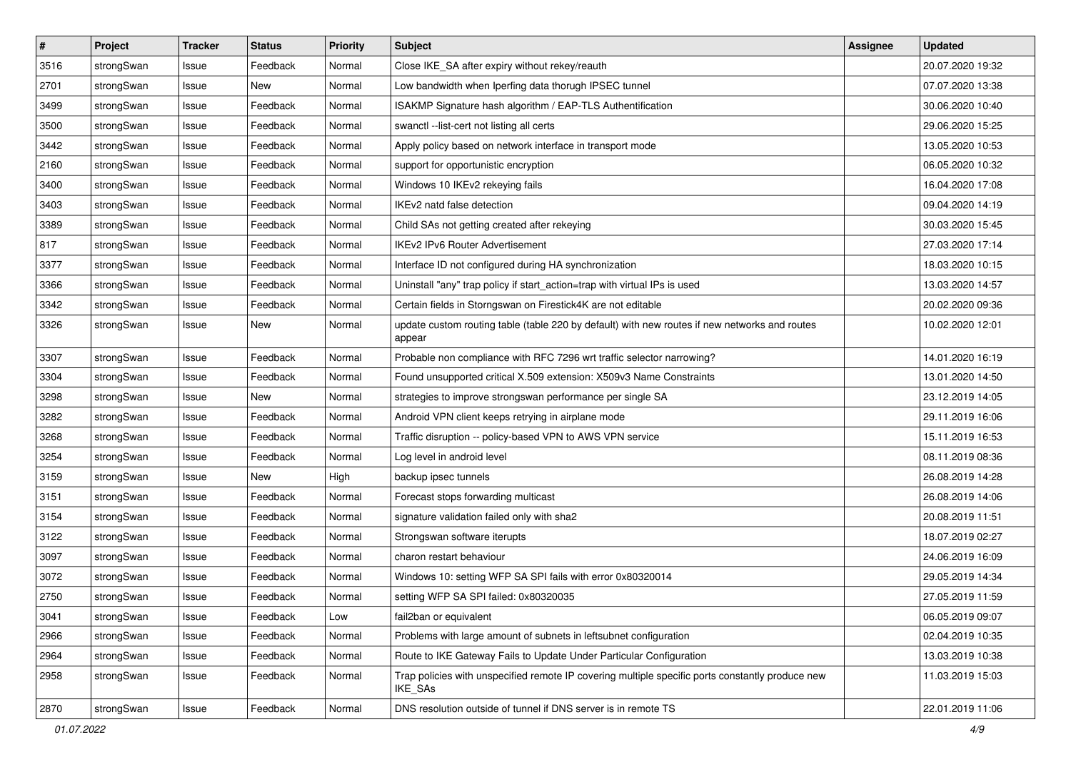| $\vert$ # | Project    | <b>Tracker</b> | <b>Status</b> | <b>Priority</b> | <b>Subject</b>                                                                                              | <b>Assignee</b> | <b>Updated</b>   |
|-----------|------------|----------------|---------------|-----------------|-------------------------------------------------------------------------------------------------------------|-----------------|------------------|
| 3516      | strongSwan | Issue          | Feedback      | Normal          | Close IKE_SA after expiry without rekey/reauth                                                              |                 | 20.07.2020 19:32 |
| 2701      | strongSwan | Issue          | New           | Normal          | Low bandwidth when Iperfing data thorugh IPSEC tunnel                                                       |                 | 07.07.2020 13:38 |
| 3499      | strongSwan | Issue          | Feedback      | Normal          | ISAKMP Signature hash algorithm / EAP-TLS Authentification                                                  |                 | 30.06.2020 10:40 |
| 3500      | strongSwan | Issue          | Feedback      | Normal          | swanctl --list-cert not listing all certs                                                                   |                 | 29.06.2020 15:25 |
| 3442      | strongSwan | Issue          | Feedback      | Normal          | Apply policy based on network interface in transport mode                                                   |                 | 13.05.2020 10:53 |
| 2160      | strongSwan | Issue          | Feedback      | Normal          | support for opportunistic encryption                                                                        |                 | 06.05.2020 10:32 |
| 3400      | strongSwan | Issue          | Feedback      | Normal          | Windows 10 IKEv2 rekeying fails                                                                             |                 | 16.04.2020 17:08 |
| 3403      | strongSwan | Issue          | Feedback      | Normal          | IKEv2 natd false detection                                                                                  |                 | 09.04.2020 14:19 |
| 3389      | strongSwan | Issue          | Feedback      | Normal          | Child SAs not getting created after rekeying                                                                |                 | 30.03.2020 15:45 |
| 817       | strongSwan | Issue          | Feedback      | Normal          | <b>IKEv2 IPv6 Router Advertisement</b>                                                                      |                 | 27.03.2020 17:14 |
| 3377      | strongSwan | Issue          | Feedback      | Normal          | Interface ID not configured during HA synchronization                                                       |                 | 18.03.2020 10:15 |
| 3366      | strongSwan | Issue          | Feedback      | Normal          | Uninstall "any" trap policy if start_action=trap with virtual IPs is used                                   |                 | 13.03.2020 14:57 |
| 3342      | strongSwan | Issue          | Feedback      | Normal          | Certain fields in Storngswan on Firestick4K are not editable                                                |                 | 20.02.2020 09:36 |
| 3326      | strongSwan | Issue          | <b>New</b>    | Normal          | update custom routing table (table 220 by default) with new routes if new networks and routes<br>appear     |                 | 10.02.2020 12:01 |
| 3307      | strongSwan | Issue          | Feedback      | Normal          | Probable non compliance with RFC 7296 wrt traffic selector narrowing?                                       |                 | 14.01.2020 16:19 |
| 3304      | strongSwan | Issue          | Feedback      | Normal          | Found unsupported critical X.509 extension: X509v3 Name Constraints                                         |                 | 13.01.2020 14:50 |
| 3298      | strongSwan | Issue          | New           | Normal          | strategies to improve strongswan performance per single SA                                                  |                 | 23.12.2019 14:05 |
| 3282      | strongSwan | Issue          | Feedback      | Normal          | Android VPN client keeps retrying in airplane mode                                                          |                 | 29.11.2019 16:06 |
| 3268      | strongSwan | Issue          | Feedback      | Normal          | Traffic disruption -- policy-based VPN to AWS VPN service                                                   |                 | 15.11.2019 16:53 |
| 3254      | strongSwan | Issue          | Feedback      | Normal          | Log level in android level                                                                                  |                 | 08.11.2019 08:36 |
| 3159      | strongSwan | Issue          | <b>New</b>    | High            | backup ipsec tunnels                                                                                        |                 | 26.08.2019 14:28 |
| 3151      | strongSwan | Issue          | Feedback      | Normal          | Forecast stops forwarding multicast                                                                         |                 | 26.08.2019 14:06 |
| 3154      | strongSwan | Issue          | Feedback      | Normal          | signature validation failed only with sha2                                                                  |                 | 20.08.2019 11:51 |
| 3122      | strongSwan | Issue          | Feedback      | Normal          | Strongswan software iterupts                                                                                |                 | 18.07.2019 02:27 |
| 3097      | strongSwan | Issue          | Feedback      | Normal          | charon restart behaviour                                                                                    |                 | 24.06.2019 16:09 |
| 3072      | strongSwan | Issue          | Feedback      | Normal          | Windows 10: setting WFP SA SPI fails with error 0x80320014                                                  |                 | 29.05.2019 14:34 |
| 2750      | strongSwan | Issue          | Feedback      | Normal          | setting WFP SA SPI failed: 0x80320035                                                                       |                 | 27.05.2019 11:59 |
| 3041      | strongSwan | Issue          | Feedback      | Low             | fail2ban or equivalent                                                                                      |                 | 06.05.2019 09:07 |
| 2966      | strongSwan | Issue          | Feedback      | Normal          | Problems with large amount of subnets in leftsubnet configuration                                           |                 | 02.04.2019 10:35 |
| 2964      | strongSwan | Issue          | Feedback      | Normal          | Route to IKE Gateway Fails to Update Under Particular Configuration                                         |                 | 13.03.2019 10:38 |
| 2958      | strongSwan | Issue          | Feedback      | Normal          | Trap policies with unspecified remote IP covering multiple specific ports constantly produce new<br>IKE_SAs |                 | 11.03.2019 15:03 |
| 2870      | strongSwan | Issue          | Feedback      | Normal          | DNS resolution outside of tunnel if DNS server is in remote TS                                              |                 | 22.01.2019 11:06 |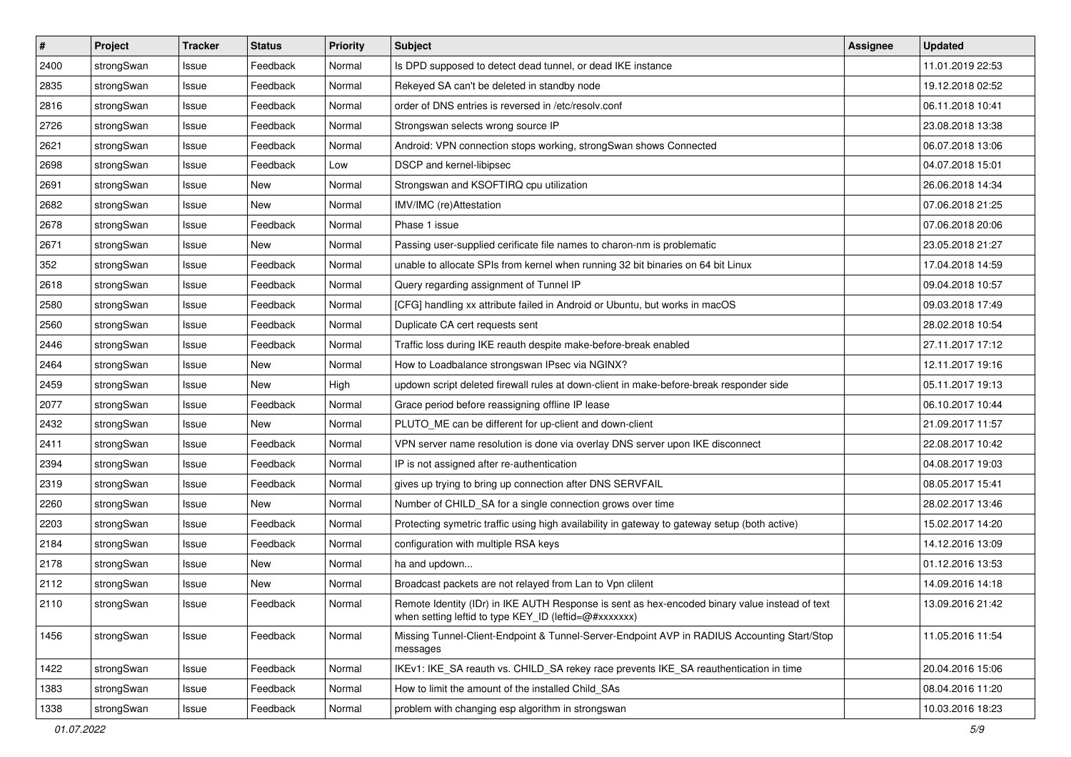| $\pmb{\#}$ | Project    | <b>Tracker</b> | <b>Status</b> | <b>Priority</b> | <b>Subject</b>                                                                                                                                          | <b>Assignee</b> | <b>Updated</b>   |
|------------|------------|----------------|---------------|-----------------|---------------------------------------------------------------------------------------------------------------------------------------------------------|-----------------|------------------|
| 2400       | strongSwan | Issue          | Feedback      | Normal          | Is DPD supposed to detect dead tunnel, or dead IKE instance                                                                                             |                 | 11.01.2019 22:53 |
| 2835       | strongSwan | Issue          | Feedback      | Normal          | Rekeyed SA can't be deleted in standby node                                                                                                             |                 | 19.12.2018 02:52 |
| 2816       | strongSwan | Issue          | Feedback      | Normal          | order of DNS entries is reversed in /etc/resolv.conf                                                                                                    |                 | 06.11.2018 10:41 |
| 2726       | strongSwan | Issue          | Feedback      | Normal          | Strongswan selects wrong source IP                                                                                                                      |                 | 23.08.2018 13:38 |
| 2621       | strongSwan | Issue          | Feedback      | Normal          | Android: VPN connection stops working, strongSwan shows Connected                                                                                       |                 | 06.07.2018 13:06 |
| 2698       | strongSwan | Issue          | Feedback      | Low             | DSCP and kernel-libipsec                                                                                                                                |                 | 04.07.2018 15:01 |
| 2691       | strongSwan | Issue          | New           | Normal          | Strongswan and KSOFTIRQ cpu utilization                                                                                                                 |                 | 26.06.2018 14:34 |
| 2682       | strongSwan | Issue          | New           | Normal          | IMV/IMC (re)Attestation                                                                                                                                 |                 | 07.06.2018 21:25 |
| 2678       | strongSwan | Issue          | Feedback      | Normal          | Phase 1 issue                                                                                                                                           |                 | 07.06.2018 20:06 |
| 2671       | strongSwan | Issue          | New           | Normal          | Passing user-supplied cerificate file names to charon-nm is problematic                                                                                 |                 | 23.05.2018 21:27 |
| 352        | strongSwan | Issue          | Feedback      | Normal          | unable to allocate SPIs from kernel when running 32 bit binaries on 64 bit Linux                                                                        |                 | 17.04.2018 14:59 |
| 2618       | strongSwan | Issue          | Feedback      | Normal          | Query regarding assignment of Tunnel IP                                                                                                                 |                 | 09.04.2018 10:57 |
| 2580       | strongSwan | Issue          | Feedback      | Normal          | [CFG] handling xx attribute failed in Android or Ubuntu, but works in macOS                                                                             |                 | 09.03.2018 17:49 |
| 2560       | strongSwan | Issue          | Feedback      | Normal          | Duplicate CA cert requests sent                                                                                                                         |                 | 28.02.2018 10:54 |
| 2446       | strongSwan | Issue          | Feedback      | Normal          | Traffic loss during IKE reauth despite make-before-break enabled                                                                                        |                 | 27.11.2017 17:12 |
| 2464       | strongSwan | Issue          | New           | Normal          | How to Loadbalance strongswan IPsec via NGINX?                                                                                                          |                 | 12.11.2017 19:16 |
| 2459       | strongSwan | Issue          | New           | High            | updown script deleted firewall rules at down-client in make-before-break responder side                                                                 |                 | 05.11.2017 19:13 |
| 2077       | strongSwan | Issue          | Feedback      | Normal          | Grace period before reassigning offline IP lease                                                                                                        |                 | 06.10.2017 10:44 |
| 2432       | strongSwan | Issue          | New           | Normal          | PLUTO_ME can be different for up-client and down-client                                                                                                 |                 | 21.09.2017 11:57 |
| 2411       | strongSwan | Issue          | Feedback      | Normal          | VPN server name resolution is done via overlay DNS server upon IKE disconnect                                                                           |                 | 22.08.2017 10:42 |
| 2394       | strongSwan | Issue          | Feedback      | Normal          | IP is not assigned after re-authentication                                                                                                              |                 | 04.08.2017 19:03 |
| 2319       | strongSwan | Issue          | Feedback      | Normal          | gives up trying to bring up connection after DNS SERVFAIL                                                                                               |                 | 08.05.2017 15:41 |
| 2260       | strongSwan | Issue          | New           | Normal          | Number of CHILD_SA for a single connection grows over time                                                                                              |                 | 28.02.2017 13:46 |
| 2203       | strongSwan | Issue          | Feedback      | Normal          | Protecting symetric traffic using high availability in gateway to gateway setup (both active)                                                           |                 | 15.02.2017 14:20 |
| 2184       | strongSwan | Issue          | Feedback      | Normal          | configuration with multiple RSA keys                                                                                                                    |                 | 14.12.2016 13:09 |
| 2178       | strongSwan | Issue          | New           | Normal          | ha and updown                                                                                                                                           |                 | 01.12.2016 13:53 |
| 2112       | strongSwan | Issue          | New           | Normal          | Broadcast packets are not relayed from Lan to Vpn clilent                                                                                               |                 | 14.09.2016 14:18 |
| 2110       | strongSwan | Issue          | Feedback      | Normal          | Remote Identity (IDr) in IKE AUTH Response is sent as hex-encoded binary value instead of text<br>when setting leftid to type KEY_ID (leftid=@#xxxxxxx) |                 | 13.09.2016 21:42 |
| 1456       | strongSwan | Issue          | Feedback      | Normal          | Missing Tunnel-Client-Endpoint & Tunnel-Server-Endpoint AVP in RADIUS Accounting Start/Stop<br>messages                                                 |                 | 11.05.2016 11:54 |
| 1422       | strongSwan | Issue          | Feedback      | Normal          | IKEv1: IKE_SA reauth vs. CHILD_SA rekey race prevents IKE_SA reauthentication in time                                                                   |                 | 20.04.2016 15:06 |
| 1383       | strongSwan | Issue          | Feedback      | Normal          | How to limit the amount of the installed Child SAs                                                                                                      |                 | 08.04.2016 11:20 |
| 1338       | strongSwan | Issue          | Feedback      | Normal          | problem with changing esp algorithm in strongswan                                                                                                       |                 | 10.03.2016 18:23 |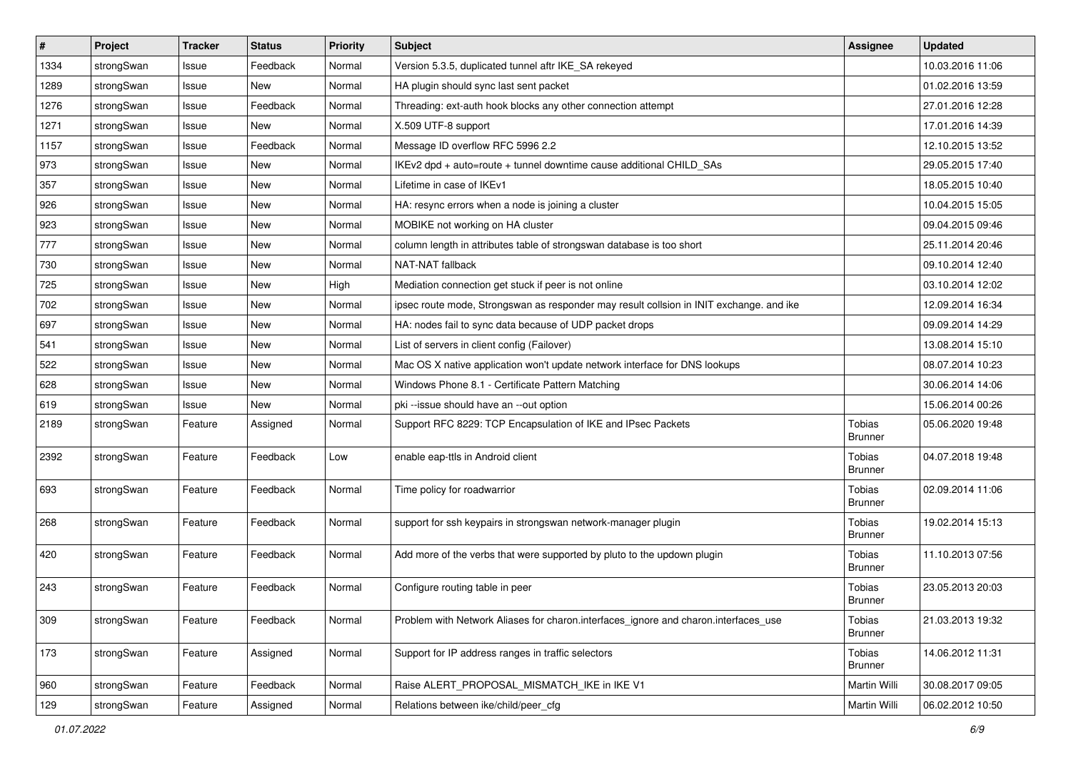| $\vert$ # | Project    | <b>Tracker</b> | <b>Status</b> | Priority | <b>Subject</b>                                                                          | <b>Assignee</b>                 | <b>Updated</b>   |
|-----------|------------|----------------|---------------|----------|-----------------------------------------------------------------------------------------|---------------------------------|------------------|
| 1334      | strongSwan | Issue          | Feedback      | Normal   | Version 5.3.5, duplicated tunnel aftr IKE_SA rekeyed                                    |                                 | 10.03.2016 11:06 |
| 1289      | strongSwan | Issue          | <b>New</b>    | Normal   | HA plugin should sync last sent packet                                                  |                                 | 01.02.2016 13:59 |
| 1276      | strongSwan | Issue          | Feedback      | Normal   | Threading: ext-auth hook blocks any other connection attempt                            |                                 | 27.01.2016 12:28 |
| 1271      | strongSwan | Issue          | New           | Normal   | X.509 UTF-8 support                                                                     |                                 | 17.01.2016 14:39 |
| 1157      | strongSwan | Issue          | Feedback      | Normal   | Message ID overflow RFC 5996 2.2                                                        |                                 | 12.10.2015 13:52 |
| 973       | strongSwan | Issue          | <b>New</b>    | Normal   | IKEv2 dpd + auto=route + tunnel downtime cause additional CHILD_SAs                     |                                 | 29.05.2015 17:40 |
| 357       | strongSwan | Issue          | New           | Normal   | Lifetime in case of IKEv1                                                               |                                 | 18.05.2015 10:40 |
| 926       | strongSwan | Issue          | <b>New</b>    | Normal   | HA: resync errors when a node is joining a cluster                                      |                                 | 10.04.2015 15:05 |
| 923       | strongSwan | Issue          | New           | Normal   | MOBIKE not working on HA cluster                                                        |                                 | 09.04.2015 09:46 |
| 777       | strongSwan | Issue          | New           | Normal   | column length in attributes table of strongswan database is too short                   |                                 | 25.11.2014 20:46 |
| 730       | strongSwan | Issue          | New           | Normal   | NAT-NAT fallback                                                                        |                                 | 09.10.2014 12:40 |
| 725       | strongSwan | Issue          | New           | High     | Mediation connection get stuck if peer is not online                                    |                                 | 03.10.2014 12:02 |
| 702       | strongSwan | Issue          | <b>New</b>    | Normal   | ipsec route mode, Strongswan as responder may result collsion in INIT exchange. and ike |                                 | 12.09.2014 16:34 |
| 697       | strongSwan | Issue          | <b>New</b>    | Normal   | HA: nodes fail to sync data because of UDP packet drops                                 |                                 | 09.09.2014 14:29 |
| 541       | strongSwan | Issue          | <b>New</b>    | Normal   | List of servers in client config (Failover)                                             |                                 | 13.08.2014 15:10 |
| 522       | strongSwan | Issue          | New           | Normal   | Mac OS X native application won't update network interface for DNS lookups              |                                 | 08.07.2014 10:23 |
| 628       | strongSwan | Issue          | New           | Normal   | Windows Phone 8.1 - Certificate Pattern Matching                                        |                                 | 30.06.2014 14:06 |
| 619       | strongSwan | Issue          | <b>New</b>    | Normal   | pki --issue should have an --out option                                                 |                                 | 15.06.2014 00:26 |
| 2189      | strongSwan | Feature        | Assigned      | Normal   | Support RFC 8229: TCP Encapsulation of IKE and IPsec Packets                            | <b>Tobias</b><br><b>Brunner</b> | 05.06.2020 19:48 |
| 2392      | strongSwan | Feature        | Feedback      | Low      | enable eap-ttls in Android client                                                       | <b>Tobias</b><br><b>Brunner</b> | 04.07.2018 19:48 |
| 693       | strongSwan | Feature        | Feedback      | Normal   | Time policy for roadwarrior                                                             | Tobias<br><b>Brunner</b>        | 02.09.2014 11:06 |
| 268       | strongSwan | Feature        | Feedback      | Normal   | support for ssh keypairs in strongswan network-manager plugin                           | Tobias<br><b>Brunner</b>        | 19.02.2014 15:13 |
| 420       | strongSwan | Feature        | Feedback      | Normal   | Add more of the verbs that were supported by pluto to the updown plugin                 | Tobias<br><b>Brunner</b>        | 11.10.2013 07:56 |
| 243       | strongSwan | Feature        | Feedback      | Normal   | Configure routing table in peer                                                         | <b>Tobias</b><br><b>Brunner</b> | 23.05.2013 20:03 |
| 309       | strongSwan | Feature        | Feedback      | Normal   | Problem with Network Aliases for charon.interfaces ignore and charon.interfaces use     | <b>Tobias</b><br><b>Brunner</b> | 21.03.2013 19:32 |
| 173       | strongSwan | Feature        | Assigned      | Normal   | Support for IP address ranges in traffic selectors                                      | <b>Tobias</b><br><b>Brunner</b> | 14.06.2012 11:31 |
| 960       | strongSwan | Feature        | Feedback      | Normal   | Raise ALERT_PROPOSAL_MISMATCH_IKE in IKE V1                                             | Martin Willi                    | 30.08.2017 09:05 |
| 129       | strongSwan | Feature        | Assigned      | Normal   | Relations between ike/child/peer cfg                                                    | Martin Willi                    | 06.02.2012 10:50 |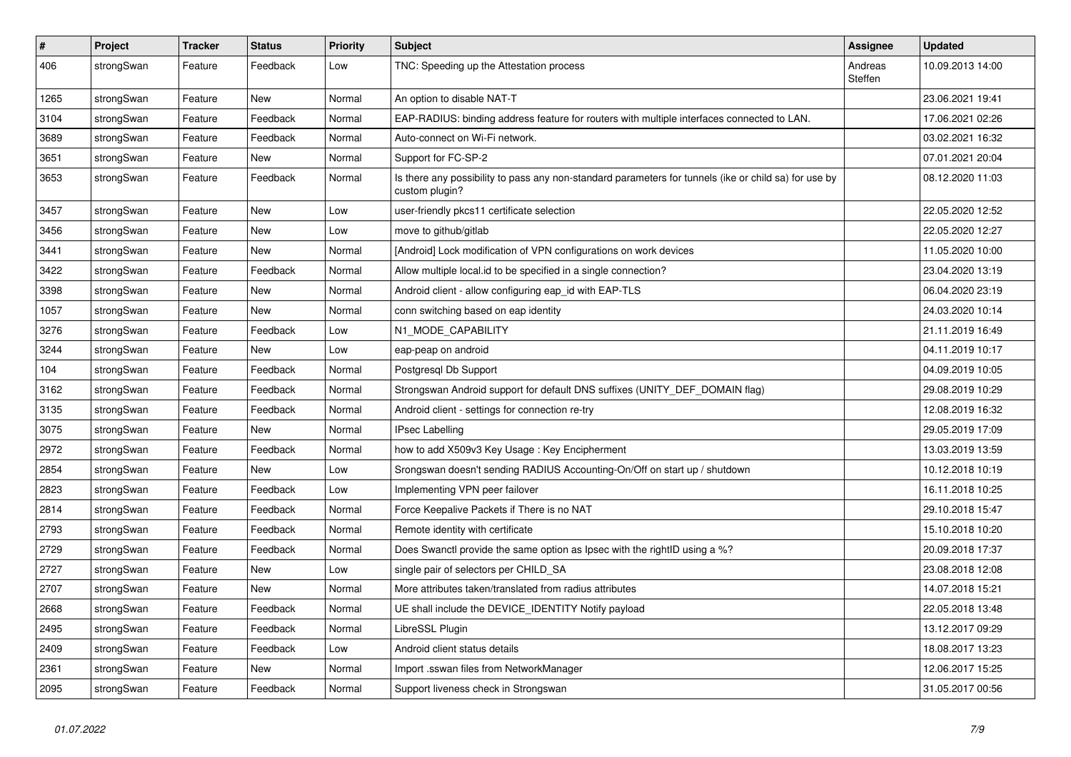| $\pmb{\#}$ | Project    | <b>Tracker</b> | <b>Status</b> | <b>Priority</b> | <b>Subject</b>                                                                                                          | Assignee           | <b>Updated</b>   |
|------------|------------|----------------|---------------|-----------------|-------------------------------------------------------------------------------------------------------------------------|--------------------|------------------|
| 406        | strongSwan | Feature        | Feedback      | Low             | TNC: Speeding up the Attestation process                                                                                | Andreas<br>Steffen | 10.09.2013 14:00 |
| 1265       | strongSwan | Feature        | New           | Normal          | An option to disable NAT-T                                                                                              |                    | 23.06.2021 19:41 |
| 3104       | strongSwan | Feature        | Feedback      | Normal          | EAP-RADIUS: binding address feature for routers with multiple interfaces connected to LAN.                              |                    | 17.06.2021 02:26 |
| 3689       | strongSwan | Feature        | Feedback      | Normal          | Auto-connect on Wi-Fi network.                                                                                          |                    | 03.02.2021 16:32 |
| 3651       | strongSwan | Feature        | New           | Normal          | Support for FC-SP-2                                                                                                     |                    | 07.01.2021 20:04 |
| 3653       | strongSwan | Feature        | Feedback      | Normal          | Is there any possibility to pass any non-standard parameters for tunnels (ike or child sa) for use by<br>custom plugin? |                    | 08.12.2020 11:03 |
| 3457       | strongSwan | Feature        | New           | Low             | user-friendly pkcs11 certificate selection                                                                              |                    | 22.05.2020 12:52 |
| 3456       | strongSwan | Feature        | New           | Low             | move to github/gitlab                                                                                                   |                    | 22.05.2020 12:27 |
| 3441       | strongSwan | Feature        | New           | Normal          | [Android] Lock modification of VPN configurations on work devices                                                       |                    | 11.05.2020 10:00 |
| 3422       | strongSwan | Feature        | Feedback      | Normal          | Allow multiple local id to be specified in a single connection?                                                         |                    | 23.04.2020 13:19 |
| 3398       | strongSwan | Feature        | New           | Normal          | Android client - allow configuring eap id with EAP-TLS                                                                  |                    | 06.04.2020 23:19 |
| 1057       | strongSwan | Feature        | New           | Normal          | conn switching based on eap identity                                                                                    |                    | 24.03.2020 10:14 |
| 3276       | strongSwan | Feature        | Feedback      | Low             | N1_MODE_CAPABILITY                                                                                                      |                    | 21.11.2019 16:49 |
| 3244       | strongSwan | Feature        | New           | Low             | eap-peap on android                                                                                                     |                    | 04.11.2019 10:17 |
| 104        | strongSwan | Feature        | Feedback      | Normal          | Postgresql Db Support                                                                                                   |                    | 04.09.2019 10:05 |
| 3162       | strongSwan | Feature        | Feedback      | Normal          | Strongswan Android support for default DNS suffixes (UNITY_DEF_DOMAIN flag)                                             |                    | 29.08.2019 10:29 |
| 3135       | strongSwan | Feature        | Feedback      | Normal          | Android client - settings for connection re-try                                                                         |                    | 12.08.2019 16:32 |
| 3075       | strongSwan | Feature        | New           | Normal          | <b>IPsec Labelling</b>                                                                                                  |                    | 29.05.2019 17:09 |
| 2972       | strongSwan | Feature        | Feedback      | Normal          | how to add X509v3 Key Usage: Key Encipherment                                                                           |                    | 13.03.2019 13:59 |
| 2854       | strongSwan | Feature        | New           | Low             | Srongswan doesn't sending RADIUS Accounting-On/Off on start up / shutdown                                               |                    | 10.12.2018 10:19 |
| 2823       | strongSwan | Feature        | Feedback      | Low             | Implementing VPN peer failover                                                                                          |                    | 16.11.2018 10:25 |
| 2814       | strongSwan | Feature        | Feedback      | Normal          | Force Keepalive Packets if There is no NAT                                                                              |                    | 29.10.2018 15:47 |
| 2793       | strongSwan | Feature        | Feedback      | Normal          | Remote identity with certificate                                                                                        |                    | 15.10.2018 10:20 |
| 2729       | strongSwan | Feature        | Feedback      | Normal          | Does Swanctl provide the same option as Ipsec with the rightID using a %?                                               |                    | 20.09.2018 17:37 |
| 2727       | strongSwan | Feature        | New           | Low             | single pair of selectors per CHILD_SA                                                                                   |                    | 23.08.2018 12:08 |
| 2707       | strongSwan | Feature        | <b>New</b>    | Normal          | More attributes taken/translated from radius attributes                                                                 |                    | 14.07.2018 15:21 |
| 2668       | strongSwan | Feature        | Feedback      | Normal          | UE shall include the DEVICE_IDENTITY Notify payload                                                                     |                    | 22.05.2018 13:48 |
| 2495       | strongSwan | Feature        | Feedback      | Normal          | LibreSSL Plugin                                                                                                         |                    | 13.12.2017 09:29 |
| 2409       | strongSwan | Feature        | Feedback      | Low             | Android client status details                                                                                           |                    | 18.08.2017 13:23 |
| 2361       | strongSwan | Feature        | New           | Normal          | Import .sswan files from NetworkManager                                                                                 |                    | 12.06.2017 15:25 |
| 2095       | strongSwan | Feature        | Feedback      | Normal          | Support liveness check in Strongswan                                                                                    |                    | 31.05.2017 00:56 |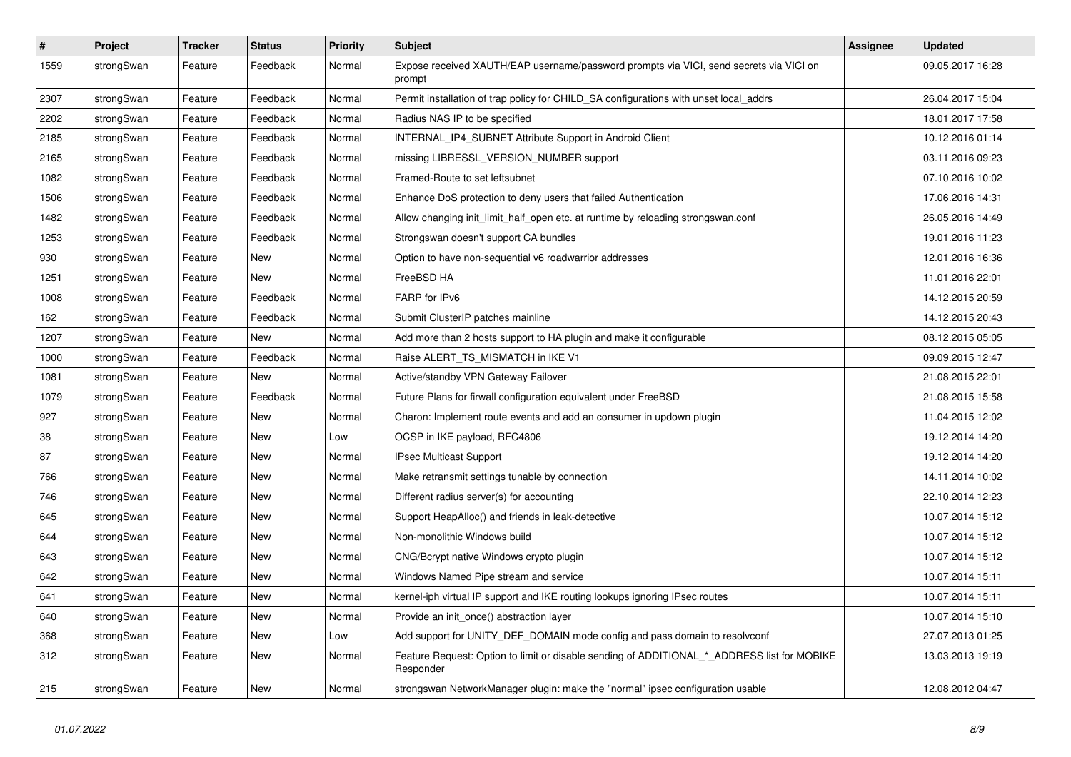| $\vert$ # | Project    | <b>Tracker</b> | <b>Status</b> | <b>Priority</b> | <b>Subject</b>                                                                                           | Assignee | <b>Updated</b>   |
|-----------|------------|----------------|---------------|-----------------|----------------------------------------------------------------------------------------------------------|----------|------------------|
| 1559      | strongSwan | Feature        | Feedback      | Normal          | Expose received XAUTH/EAP username/password prompts via VICI, send secrets via VICI on<br>prompt         |          | 09.05.2017 16:28 |
| 2307      | strongSwan | Feature        | Feedback      | Normal          | Permit installation of trap policy for CHILD_SA configurations with unset local_addrs                    |          | 26.04.2017 15:04 |
| 2202      | strongSwan | Feature        | Feedback      | Normal          | Radius NAS IP to be specified                                                                            |          | 18.01.2017 17:58 |
| 2185      | strongSwan | Feature        | Feedback      | Normal          | INTERNAL_IP4_SUBNET Attribute Support in Android Client                                                  |          | 10.12.2016 01:14 |
| 2165      | strongSwan | Feature        | Feedback      | Normal          | missing LIBRESSL_VERSION_NUMBER support                                                                  |          | 03.11.2016 09:23 |
| 1082      | strongSwan | Feature        | Feedback      | Normal          | Framed-Route to set leftsubnet                                                                           |          | 07.10.2016 10:02 |
| 1506      | strongSwan | Feature        | Feedback      | Normal          | Enhance DoS protection to deny users that failed Authentication                                          |          | 17.06.2016 14:31 |
| 1482      | strongSwan | Feature        | Feedback      | Normal          | Allow changing init_limit_half_open etc. at runtime by reloading strongswan.conf                         |          | 26.05.2016 14:49 |
| 1253      | strongSwan | Feature        | Feedback      | Normal          | Strongswan doesn't support CA bundles                                                                    |          | 19.01.2016 11:23 |
| 930       | strongSwan | Feature        | New           | Normal          | Option to have non-sequential v6 roadwarrior addresses                                                   |          | 12.01.2016 16:36 |
| 1251      | strongSwan | Feature        | <b>New</b>    | Normal          | FreeBSD HA                                                                                               |          | 11.01.2016 22:01 |
| 1008      | strongSwan | Feature        | Feedback      | Normal          | FARP for IPv6                                                                                            |          | 14.12.2015 20:59 |
| 162       | strongSwan | Feature        | Feedback      | Normal          | Submit ClusterIP patches mainline                                                                        |          | 14.12.2015 20:43 |
| 1207      | strongSwan | Feature        | New           | Normal          | Add more than 2 hosts support to HA plugin and make it configurable                                      |          | 08.12.2015 05:05 |
| 1000      | strongSwan | Feature        | Feedback      | Normal          | Raise ALERT TS MISMATCH in IKE V1                                                                        |          | 09.09.2015 12:47 |
| 1081      | strongSwan | Feature        | <b>New</b>    | Normal          | Active/standby VPN Gateway Failover                                                                      |          | 21.08.2015 22:01 |
| 1079      | strongSwan | Feature        | Feedback      | Normal          | Future Plans for firwall configuration equivalent under FreeBSD                                          |          | 21.08.2015 15:58 |
| 927       | strongSwan | Feature        | <b>New</b>    | Normal          | Charon: Implement route events and add an consumer in updown plugin                                      |          | 11.04.2015 12:02 |
| 38        | strongSwan | Feature        | <b>New</b>    | Low             | OCSP in IKE payload, RFC4806                                                                             |          | 19.12.2014 14:20 |
| 87        | strongSwan | Feature        | <b>New</b>    | Normal          | <b>IPsec Multicast Support</b>                                                                           |          | 19.12.2014 14:20 |
| 766       | strongSwan | Feature        | <b>New</b>    | Normal          | Make retransmit settings tunable by connection                                                           |          | 14.11.2014 10:02 |
| 746       | strongSwan | Feature        | New           | Normal          | Different radius server(s) for accounting                                                                |          | 22.10.2014 12:23 |
| 645       | strongSwan | Feature        | <b>New</b>    | Normal          | Support HeapAlloc() and friends in leak-detective                                                        |          | 10.07.2014 15:12 |
| 644       | strongSwan | Feature        | <b>New</b>    | Normal          | Non-monolithic Windows build                                                                             |          | 10.07.2014 15:12 |
| 643       | strongSwan | Feature        | <b>New</b>    | Normal          | CNG/Bcrypt native Windows crypto plugin                                                                  |          | 10.07.2014 15:12 |
| 642       | strongSwan | Feature        | <b>New</b>    | Normal          | Windows Named Pipe stream and service                                                                    |          | 10.07.2014 15:11 |
| 641       | strongSwan | Feature        | New           | Normal          | kernel-iph virtual IP support and IKE routing lookups ignoring IPsec routes                              |          | 10.07.2014 15:11 |
| 640       | strongSwan | Feature        | <b>New</b>    | Normal          | Provide an init_once() abstraction layer                                                                 |          | 10.07.2014 15:10 |
| 368       | strongSwan | Feature        | <b>New</b>    | Low             | Add support for UNITY_DEF_DOMAIN mode config and pass domain to resolvconf                               |          | 27.07.2013 01:25 |
| 312       | strongSwan | Feature        | New           | Normal          | Feature Request: Option to limit or disable sending of ADDITIONAL_*_ADDRESS list for MOBIKE<br>Responder |          | 13.03.2013 19:19 |
| 215       | strongSwan | Feature        | <b>New</b>    | Normal          | strongswan NetworkManager plugin: make the "normal" ipsec configuration usable                           |          | 12.08.2012 04:47 |